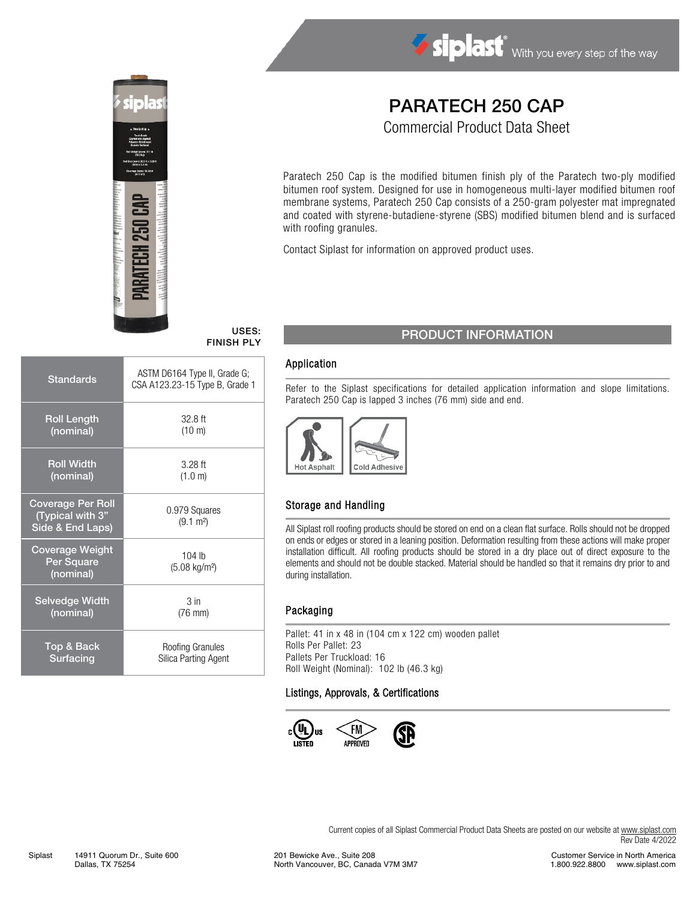

# Siplast With you every step of the way

## PARATECH 250 CAP

Commercial Product Data Sheet

Paratech 250 Cap is the modified bitumen finish ply of the Paratech two-ply modified bitumen roof system. Designed for use in homogeneous multi-layer modified bitumen roof membrane systems, Paratech 250 Cap consists of a 250-gram polyester mat impregnated and coated with styrene-butadiene-styrene (SBS) modified bitumen blend and is surfaced with roofing granules.

Contact Siplast for information on approved product uses.

| <b>Standards</b>                                                 | ASTM D6164 Type II, Grade G;<br>CSA A123.23-15 Type B, Grade 1 |
|------------------------------------------------------------------|----------------------------------------------------------------|
| <b>Roll Length</b>                                               | $32.8$ ft                                                      |
| (nominal)                                                        | (10 m)                                                         |
| <b>Roll Width</b>                                                | $3.28$ ft                                                      |
| (nominal)                                                        | (1.0 m)                                                        |
| <b>Coverage Per Roll</b><br>(Typical with 3"<br>Side & End Laps) | 0.979 Squares<br>$(9.1 \text{ m}^2)$                           |
| <b>Coverage Weight</b><br>Per Square<br>(nominal)                | $104$ lb<br>$(5.08 \text{ kg/m}^2)$                            |
| <b>Selvedge Width</b>                                            | 3 <sub>in</sub>                                                |
| (nominal)                                                        | $(76 \text{ mm})$                                              |
| Top & Back                                                       | Roofing Granules                                               |
| Surfacing                                                        | Silica Parting Agent                                           |

### USES: USES: PRODUCT INFORMATION

#### Application

Refer to the Siplast specifications for detailed application information and slope limitations. Paratech 250 Cap is lapped 3 inches (76 mm) side and end.



#### Storage and Handling

All Siplast roll roofing products should be stored on end on a clean flat surface. Rolls should not be dropped on ends or edges or stored in a leaning position. Deformation resulting from these actions will make proper installation difficult. All roofing products should be stored in a dry place out of direct exposure to the elements and should not be double stacked. Material should be handled so that it remains dry prior to and during installation.

#### Packaging

Pallet: 41 in x 48 in (104 cm x 122 cm) wooden pallet Rolls Per Pallet: 23 Pallets Per Truckload: 16 Roll Weight (Nominal): 102 lb (46.3 kg)

#### Listings, Approvals, & Certifications



Current copies of all Siplast Commercial Product Data Sheets are posted on our website at [www.siplast.com](http://www.siplast.com/) Rev Date 4/2022